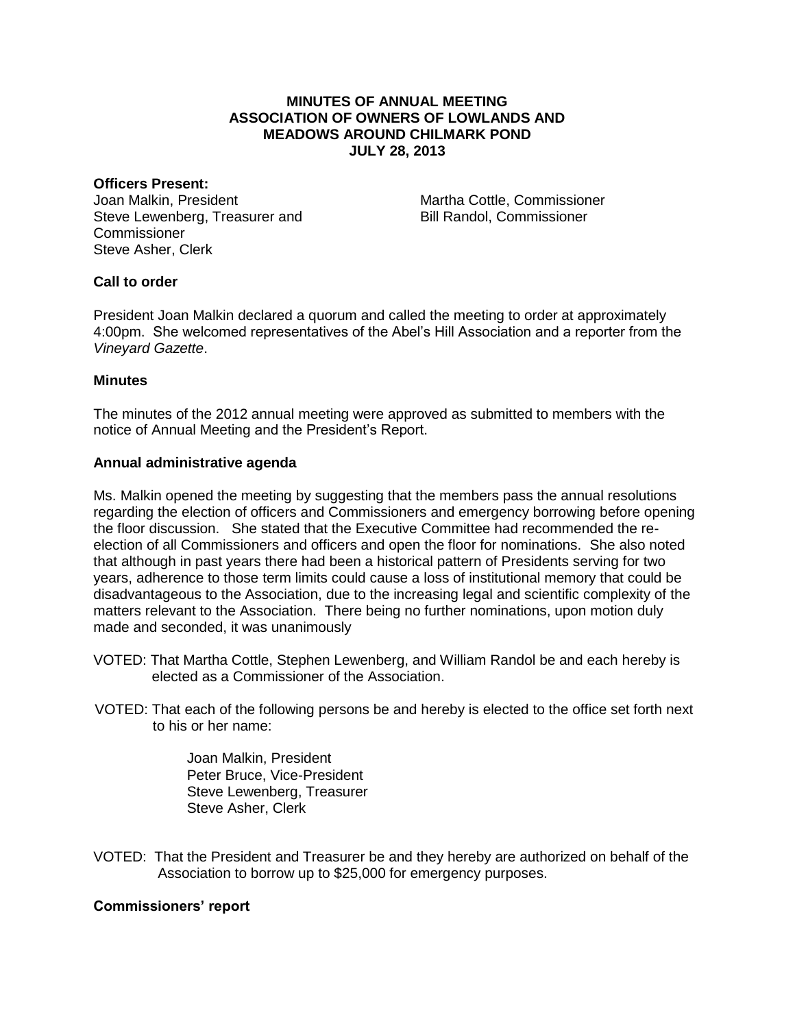# **MINUTES OF ANNUAL MEETING ASSOCIATION OF OWNERS OF LOWLANDS AND MEADOWS AROUND CHILMARK POND JULY 28, 2013**

#### **Officers Present:**

Joan Malkin, President Steve Lewenberg, Treasurer and Commissioner Steve Asher, Clerk

Martha Cottle, Commissioner Bill Randol, Commissioner

# **Call to order**

President Joan Malkin declared a quorum and called the meeting to order at approximately 4:00pm. She welcomed representatives of the Abel's Hill Association and a reporter from the *Vineyard Gazette*.

### **Minutes**

The minutes of the 2012 annual meeting were approved as submitted to members with the notice of Annual Meeting and the President's Report.

#### **Annual administrative agenda**

Ms. Malkin opened the meeting by suggesting that the members pass the annual resolutions regarding the election of officers and Commissioners and emergency borrowing before opening the floor discussion. She stated that the Executive Committee had recommended the reelection of all Commissioners and officers and open the floor for nominations. She also noted that although in past years there had been a historical pattern of Presidents serving for two years, adherence to those term limits could cause a loss of institutional memory that could be disadvantageous to the Association, due to the increasing legal and scientific complexity of the matters relevant to the Association. There being no further nominations, upon motion duly made and seconded, it was unanimously

- VOTED: That Martha Cottle, Stephen Lewenberg, and William Randol be and each hereby is elected as a Commissioner of the Association.
- VOTED: That each of the following persons be and hereby is elected to the office set forth next to his or her name:

Joan Malkin, President Peter Bruce, Vice-President Steve Lewenberg, Treasurer Steve Asher, Clerk

VOTED: That the President and Treasurer be and they hereby are authorized on behalf of the Association to borrow up to \$25,000 for emergency purposes.

### **Commissioners' report**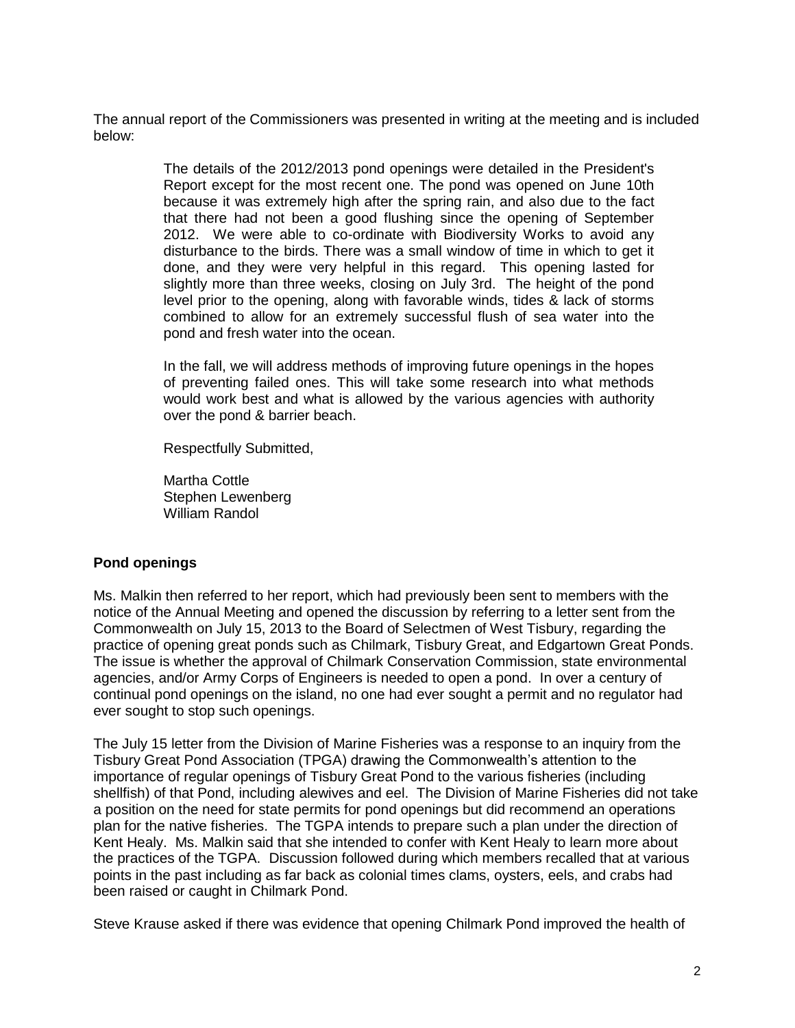The annual report of the Commissioners was presented in writing at the meeting and is included below:

> The details of the 2012/2013 pond openings were detailed in the President's Report except for the most recent one. The pond was opened on June 10th because it was extremely high after the spring rain, and also due to the fact that there had not been a good flushing since the opening of September 2012. We were able to co-ordinate with Biodiversity Works to avoid any disturbance to the birds. There was a small window of time in which to get it done, and they were very helpful in this regard. This opening lasted for slightly more than three weeks, closing on July 3rd. The height of the pond level prior to the opening, along with favorable winds, tides & lack of storms combined to allow for an extremely successful flush of sea water into the pond and fresh water into the ocean.

> In the fall, we will address methods of improving future openings in the hopes of preventing failed ones. This will take some research into what methods would work best and what is allowed by the various agencies with authority over the pond & barrier beach.

Respectfully Submitted,

Martha Cottle Stephen Lewenberg William Randol

### **Pond openings**

Ms. Malkin then referred to her report, which had previously been sent to members with the notice of the Annual Meeting and opened the discussion by referring to a letter sent from the Commonwealth on July 15, 2013 to the Board of Selectmen of West Tisbury, regarding the practice of opening great ponds such as Chilmark, Tisbury Great, and Edgartown Great Ponds. The issue is whether the approval of Chilmark Conservation Commission, state environmental agencies, and/or Army Corps of Engineers is needed to open a pond. In over a century of continual pond openings on the island, no one had ever sought a permit and no regulator had ever sought to stop such openings.

The July 15 letter from the Division of Marine Fisheries was a response to an inquiry from the Tisbury Great Pond Association (TPGA) drawing the Commonwealth's attention to the importance of regular openings of Tisbury Great Pond to the various fisheries (including shellfish) of that Pond, including alewives and eel. The Division of Marine Fisheries did not take a position on the need for state permits for pond openings but did recommend an operations plan for the native fisheries. The TGPA intends to prepare such a plan under the direction of Kent Healy. Ms. Malkin said that she intended to confer with Kent Healy to learn more about the practices of the TGPA. Discussion followed during which members recalled that at various points in the past including as far back as colonial times clams, oysters, eels, and crabs had been raised or caught in Chilmark Pond.

Steve Krause asked if there was evidence that opening Chilmark Pond improved the health of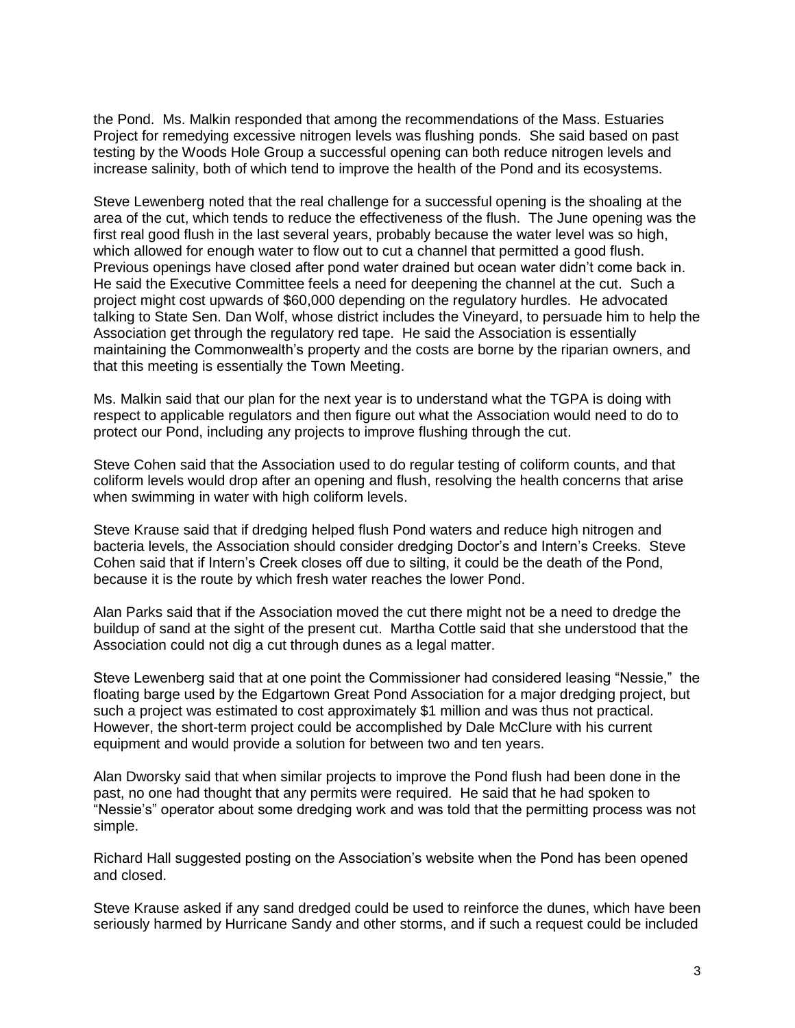the Pond. Ms. Malkin responded that among the recommendations of the Mass. Estuaries Project for remedying excessive nitrogen levels was flushing ponds. She said based on past testing by the Woods Hole Group a successful opening can both reduce nitrogen levels and increase salinity, both of which tend to improve the health of the Pond and its ecosystems.

Steve Lewenberg noted that the real challenge for a successful opening is the shoaling at the area of the cut, which tends to reduce the effectiveness of the flush. The June opening was the first real good flush in the last several years, probably because the water level was so high, which allowed for enough water to flow out to cut a channel that permitted a good flush. Previous openings have closed after pond water drained but ocean water didn't come back in. He said the Executive Committee feels a need for deepening the channel at the cut. Such a project might cost upwards of \$60,000 depending on the regulatory hurdles. He advocated talking to State Sen. Dan Wolf, whose district includes the Vineyard, to persuade him to help the Association get through the regulatory red tape. He said the Association is essentially maintaining the Commonwealth's property and the costs are borne by the riparian owners, and that this meeting is essentially the Town Meeting.

Ms. Malkin said that our plan for the next year is to understand what the TGPA is doing with respect to applicable regulators and then figure out what the Association would need to do to protect our Pond, including any projects to improve flushing through the cut.

Steve Cohen said that the Association used to do regular testing of coliform counts, and that coliform levels would drop after an opening and flush, resolving the health concerns that arise when swimming in water with high coliform levels.

Steve Krause said that if dredging helped flush Pond waters and reduce high nitrogen and bacteria levels, the Association should consider dredging Doctor's and Intern's Creeks. Steve Cohen said that if Intern's Creek closes off due to silting, it could be the death of the Pond, because it is the route by which fresh water reaches the lower Pond.

Alan Parks said that if the Association moved the cut there might not be a need to dredge the buildup of sand at the sight of the present cut. Martha Cottle said that she understood that the Association could not dig a cut through dunes as a legal matter.

Steve Lewenberg said that at one point the Commissioner had considered leasing "Nessie," the floating barge used by the Edgartown Great Pond Association for a major dredging project, but such a project was estimated to cost approximately \$1 million and was thus not practical. However, the short-term project could be accomplished by Dale McClure with his current equipment and would provide a solution for between two and ten years.

Alan Dworsky said that when similar projects to improve the Pond flush had been done in the past, no one had thought that any permits were required. He said that he had spoken to "Nessie's" operator about some dredging work and was told that the permitting process was not simple.

Richard Hall suggested posting on the Association's website when the Pond has been opened and closed.

Steve Krause asked if any sand dredged could be used to reinforce the dunes, which have been seriously harmed by Hurricane Sandy and other storms, and if such a request could be included